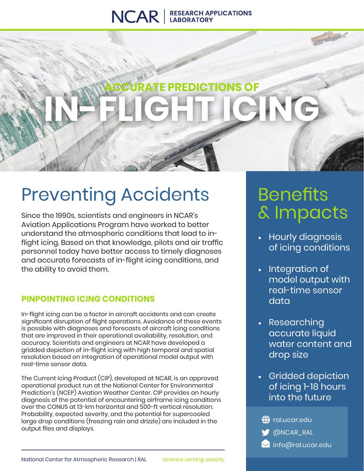### NCAR | RESEARCH APPLICATIONS

# **REDICTIONS OF** IN-FRIGHT CHIC

# Preventing Accidents

Since the 1990s, scientists and engineers in NCAR's Aviation Applications Program have worked to better understand the atmospheric conditions that lead to inflight icing. Based on that knowledge, pilots and air traffic personnel today have better access to timely diagnoses and accurate forecasts of in-flight icing conditions, and the ability to avoid them.

### **PINPOINTING ICING CONDITIONS**

In-flight icing can be a factor in aircraft accidents and can create significant disruption of flight operations. Avoidance of these events is possible with diagnoses and forecasts of aircraft icing conditions that are improved in their operational availability, resolution, and accuracy. Scientists and engineers at NCAR have developed a gridded depiction of in-flight icing with high temporal and spatial resolution based on integration of operational model output with real-time sensor data.

The Current Icing Product (CIP), developed at NCAR, is an approved operational product run at the National Center for Environmental Prediction's (NCEP) Aviation Weather Center. CIP provides an hourly diagnosis of the potential of encountering airframe icing conditions over the CONUS at 13-km horizontal and 500-ft vertical resolution. Probability, expected severity, and the potential for supercooled large drop conditions (freezing rain and drizzle) are included in the output files and displays.

## **Benefits** & Impacts

- Hourly diagnosis of icing conditions
- Integration of model output with real-time sensor data
- Researching accurate liquid water content and drop size
- Gridded depiction of icing 1-18 hours into the future

| $\bigoplus$ ral.ucar.edu |  |
|--------------------------|--|
| ONCAR_RAL                |  |
| info@ral.ucar.edu        |  |